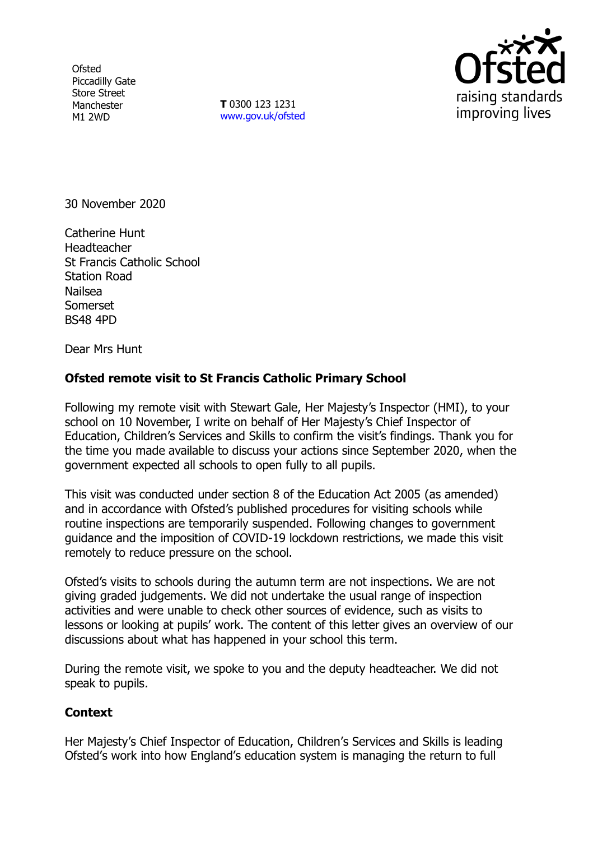**Ofsted** Piccadilly Gate Store Street Manchester M1 2WD

**T** 0300 123 1231 [www.gov.uk/ofsted](http://www.gov.uk/ofsted)



30 November 2020

Catherine Hunt Headteacher St Francis Catholic School Station Road Nailsea Somerset BS48 4PD

Dear Mrs Hunt

## **Ofsted remote visit to St Francis Catholic Primary School**

Following my remote visit with Stewart Gale, Her Majesty's Inspector (HMI), to your school on 10 November, I write on behalf of Her Majesty's Chief Inspector of Education, Children's Services and Skills to confirm the visit's findings. Thank you for the time you made available to discuss your actions since September 2020, when the government expected all schools to open fully to all pupils.

This visit was conducted under section 8 of the Education Act 2005 (as amended) and in accordance with Ofsted's published procedures for visiting schools while routine inspections are temporarily suspended. Following changes to government guidance and the imposition of COVID-19 lockdown restrictions, we made this visit remotely to reduce pressure on the school.

Ofsted's visits to schools during the autumn term are not inspections. We are not giving graded judgements. We did not undertake the usual range of inspection activities and were unable to check other sources of evidence, such as visits to lessons or looking at pupils' work. The content of this letter gives an overview of our discussions about what has happened in your school this term.

During the remote visit, we spoke to you and the deputy headteacher. We did not speak to pupils.

## **Context**

Her Majesty's Chief Inspector of Education, Children's Services and Skills is leading Ofsted's work into how England's education system is managing the return to full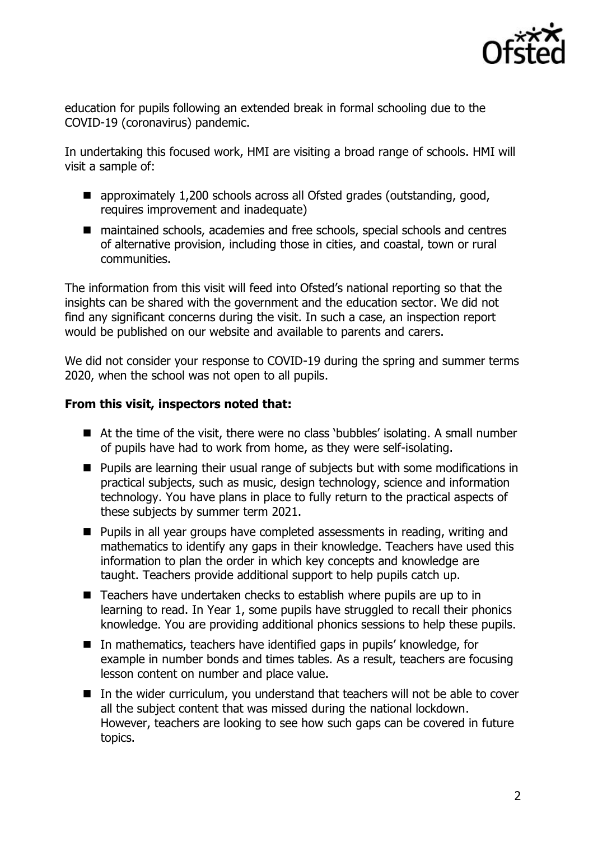

education for pupils following an extended break in formal schooling due to the COVID-19 (coronavirus) pandemic.

In undertaking this focused work, HMI are visiting a broad range of schools. HMI will visit a sample of:

- approximately 1,200 schools across all Ofsted grades (outstanding, good, requires improvement and inadequate)
- maintained schools, academies and free schools, special schools and centres of alternative provision, including those in cities, and coastal, town or rural communities.

The information from this visit will feed into Ofsted's national reporting so that the insights can be shared with the government and the education sector. We did not find any significant concerns during the visit. In such a case, an inspection report would be published on our website and available to parents and carers.

We did not consider your response to COVID-19 during the spring and summer terms 2020, when the school was not open to all pupils.

## **From this visit, inspectors noted that:**

- At the time of the visit, there were no class 'bubbles' isolating. A small number of pupils have had to work from home, as they were self-isolating.
- Pupils are learning their usual range of subjects but with some modifications in practical subjects, such as music, design technology, science and information technology. You have plans in place to fully return to the practical aspects of these subjects by summer term 2021.
- Pupils in all year groups have completed assessments in reading, writing and mathematics to identify any gaps in their knowledge. Teachers have used this information to plan the order in which key concepts and knowledge are taught. Teachers provide additional support to help pupils catch up.
- Teachers have undertaken checks to establish where pupils are up to in learning to read. In Year 1, some pupils have struggled to recall their phonics knowledge. You are providing additional phonics sessions to help these pupils.
- In mathematics, teachers have identified gaps in pupils' knowledge, for example in number bonds and times tables. As a result, teachers are focusing lesson content on number and place value.
- In the wider curriculum, you understand that teachers will not be able to cover all the subject content that was missed during the national lockdown. However, teachers are looking to see how such gaps can be covered in future topics.